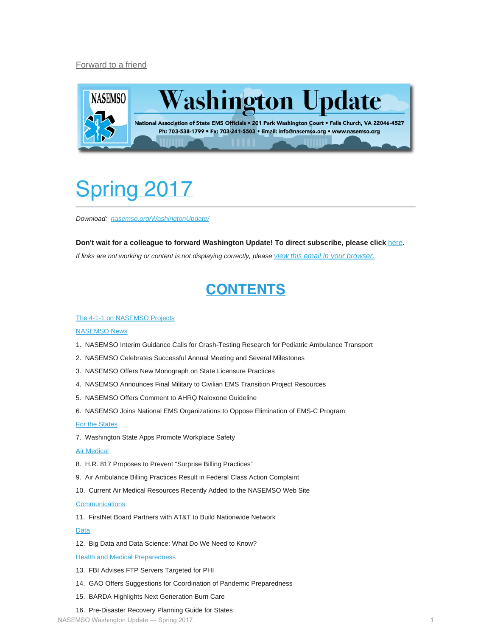#### [Forward to a friend](http://us13.forward-to-friend.com/forward?u=bdaf9a0cf267d423437d7b149&id=9f62f22fd0&e=[UNIQID])



# <span id="page-0-0"></span>Spring 2017

*Download: [nasemso.org/WashingtonUpdate/](http://www.nasemso.org/WashingtonUpdate/)*

**Don't wait for a colleague to forward Washington Update! To direct subscribe, please click** [here](http://eepurl.com/cb1_dP)**.** *If links are not working or content is not displaying correctly, please [view this email in your browser.](http://mailchi.mp/9d94de98876c/washington-update-spring-2017)*

#### **CONTENTS**

#### [The 4-1-1 on NASEMSO Projects](#page-1-0)

#### [NASEMSO News](#page-2-0)

- 1. NASEMSO Interim Guidance Calls for Crash-Testing Research for Pediatric Ambulance Transport
- 2. NASEMSO Celebrates Successful Annual Meeting and Several Milestones
- 3. NASEMSO Offers New Monograph on State Licensure Practices
- 4. NASEMSO Announces Final Military to Civilian EMS Transition Project Resources
- 5. NASEMSO Offers Comment to AHRQ Naloxone Guideline
- 6. NASEMSO Joins National EMS Organizations to Oppose Elimination of EMS-C Program
- [For the States](#page-4-0)
- 7. Washington State Apps Promote Workplace Safety
- [Air Medical](#page-5-0)
- 8. H.R. 817 Proposes to Prevent "Surprise Billing Practices"
- 9. Air Ambulance Billing Practices Result in Federal Class Action Complaint
- 10. Current Air Medical Resources Recently Added to the NASEMSO Web Site

**[Communications](#page-6-0)** 

11. FirstNet Board Partners with AT&T to Build Nationwide Network

[Data](#page-6-1)

12. Big Data and Data Science: What Do We Need to Know?

[Health and Medical Preparedness](#page-7-0)

- 13. FBI Advises FTP Servers Targeted for PHI
- 14. GAO Offers Suggestions for Coordination of Pandemic Preparedness
- 15. BARDA Highlights Next Generation Burn Care

#### 16. Pre-Disaster Recovery Planning Guide for States

NASEMSO Washington Update — Spring 2017 1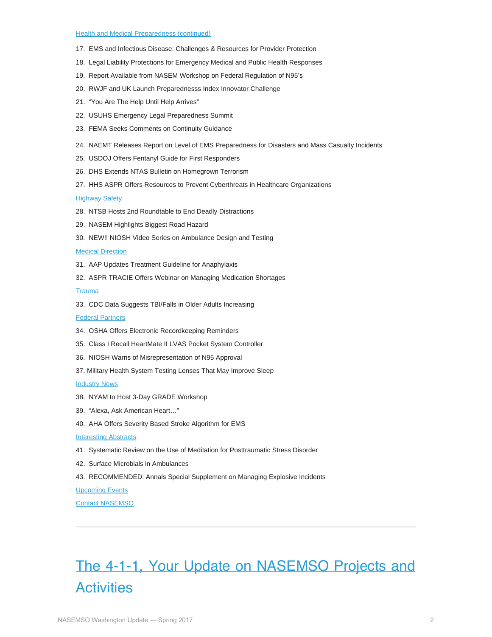#### [Health and Medical Preparedness \(continued\)](#page-7-0)

- 17. EMS and Infectious Disease: Challenges & Resources for Provider Protection
- 18. Legal Liability Protections for Emergency Medical and Public Health Responses
- 19. Report Available from NASEM Workshop on Federal Regulation of N95's
- 20. RWJF and UK Launch Preparednesss Index Innovator Challenge
- 21. "You Are The Help Until Help Arrives"
- 22. USUHS Emergency Legal Preparedness Summit
- 23. FEMA Seeks Comments on Continuity Guidance
- 24. NAEMT Releases Report on Level of EMS Preparedness for Disasters and Mass Casualty Incidents
- 25. USDOJ Offers Fentanyl Guide for First Responders
- 26. DHS Extends NTAS Bulletin on Homegrown Terrorism
- 27. HHS ASPR Offers Resources to Prevent Cyberthreats in Healthcare Organizations

[Highway Safety](#page-13-0)

- 28. NTSB Hosts 2nd Roundtable to End Deadly Distractions
- 29. NASEM Highlights Biggest Road Hazard
- 30. NEW!! NIOSH Video Series on Ambulance Design and Testing

[Medical Direction](#page-15-0)

- 31. AAP Updates Treatment Guideline for Anaphylaxis
- 32. ASPR TRACIE Offers Webinar on Managing Medication Shortages

**[Trauma](#page-15-1)** 

33. CDC Data Suggests TBI/Falls in Older Adults Increasing

**[Federal Partners](#page-16-0)** 

- 34. OSHA Offers Electronic Recordkeeping Reminders
- 35. Class I Recall HeartMate II LVAS Pocket System Controller
- 36. NIOSH Warns of Misrepresentation of N95 Approval
- 37. Military Health System Testing Lenses That May Improve Sleep

**[Industry News](#page-18-0)** 

- 38. NYAM to Host 3-Day GRADE Workshop
- 39. "Alexa, Ask American Heart…"
- 40. AHA Offers Severity Based Stroke Algorithm for EMS
- **[Interesting Abstracts](#page-19-0)**
- 41. Systematic Review on the Use of Meditation for Posttraumatic Stress Disorder
- 42. Surface Microbials in Ambulances
- 43. RECOMMENDED: Annals Special Supplement on Managing Explosive Incidents

[Upcoming Events](#page-20-0)

[Contact NASEMSO](#page-22-0)

# <span id="page-1-0"></span>The 4-1-1, Your Update on NASEMSO Projects and **Activities**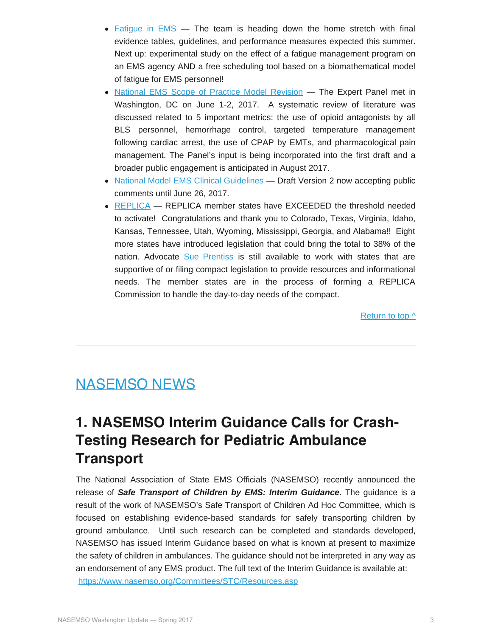- Fatigue in  $EMS -$  The team is heading down the home stretch with final evidence tables, guidelines, and performance measures expected this summer. Next up: experimental study on the effect of a fatigue management program on an EMS agency AND a free scheduling tool based on a biomathematical model of fatigue for EMS personnel!
- [National EMS Scope of Practice Model Revision](http://nasemso.org/Projects/EMSScopeOfPractice/) The Expert Panel met in Washington, DC on June 1-2, 2017. A systematic review of literature was discussed related to 5 important metrics: the use of opioid antagonists by all BLS personnel, hemorrhage control, targeted temperature management following cardiac arrest, the use of CPAP by EMTs, and pharmacological pain management. The Panel's input is being incorporated into the first draft and a broader public engagement is anticipated in August 2017.
- [National Model EMS Clinical Guidelines](https://www.nasemso.org/Projects/ModelEMSClinicalGuidelines/index.asp) Draft Version 2 now accepting public comments until June 26, 2017.
- [REPLICA](http://www.emsreplica.org/) REPLICA member states have EXCEEDED the threshold needed to activate! Congratulations and thank you to Colorado, Texas, Virginia, Idaho, Kansas, Tennessee, Utah, Wyoming, Mississippi, Georgia, and Alabama!! Eight more states have introduced legislation that could bring the total to 38% of the nation. Advocate [Sue Prentiss](mailto:prentiss@emsreplica.org) is still available to work with states that are supportive of or filing compact legislation to provide resources and informational needs. The member states are in the process of forming a REPLICA Commission to handle the day-to-day needs of the compact.

[Return to top ^](#page-0-0)

#### <span id="page-2-0"></span>NASEMSO NEWS

#### **1. NASEMSO Interim Guidance Calls for Crash-Testing Research for Pediatric Ambulance Transport**

The National Association of State EMS Officials (NASEMSO) recently announced the release of *Safe Transport of Children by EMS: Interim Guidance*. The guidance is a result of the work of NASEMSO's Safe Transport of Children Ad Hoc Committee, which is focused on establishing evidence-based standards for safely transporting children by ground ambulance. Until such research can be completed and standards developed, NASEMSO has issued Interim Guidance based on what is known at present to maximize the safety of children in ambulances. The guidance should not be interpreted in any way as an endorsement of any EMS product. The full text of the Interim Guidance is available at: <https://www.nasemso.org/Committees/STC/Resources.asp>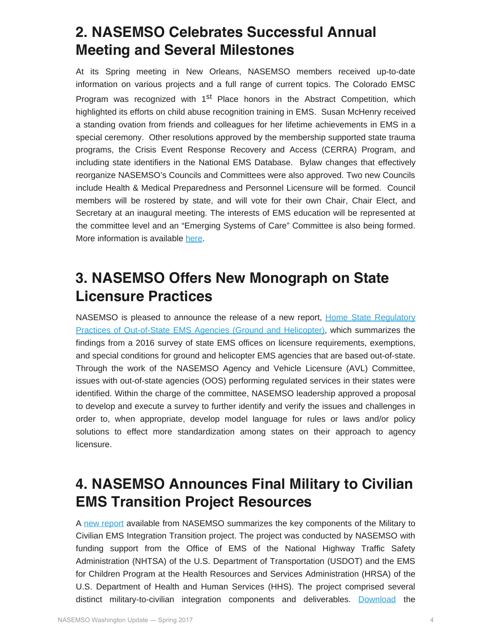#### **2. NASEMSO Celebrates Successful Annual Meeting and Several Milestones**

At its Spring meeting in New Orleans, NASEMSO members received up-to-date information on various projects and a full range of current topics. The Colorado EMSC Program was recognized with 1<sup>st</sup> Place honors in the Abstract Competition, which highlighted its efforts on child abuse recognition training in EMS. Susan McHenry received a standing ovation from friends and colleagues for her lifetime achievements in EMS in a special ceremony. Other resolutions approved by the membership supported state trauma programs, the Crisis Event Response Recovery and Access (CERRA) Program, and including state identifiers in the National EMS Database. Bylaw changes that effectively reorganize NASEMSO's Councils and Committees were also approved. Two new Councils include Health & Medical Preparedness and Personnel Licensure will be formed. Council members will be rostered by state, and will vote for their own Chair, Chair Elect, and Secretary at an inaugural meeting. The interests of EMS education will be represented at the committee level and an "Emerging Systems of Care" Committee is also being formed. More information is available [here](https://www.nasemso.org/Meetings/Spring/2017-Spring-Meeting.asp).

#### **3. NASEMSO Offers New Monograph on State Licensure Practices**

NASEMSO is pleased to announce the release of a new report, [Home State Regulatory](https://www.nasemso.org/documents/HomeStateRegulatoryPractices.OOSAgencies_Final.pdf) [Practices of Out-of-State EMS Agencies \(Ground and Helicopter\),](https://www.nasemso.org/documents/HomeStateRegulatoryPractices.OOSAgencies_Final.pdf) which summarizes the findings from a 2016 survey of state EMS offices on licensure requirements, exemptions, and special conditions for ground and helicopter EMS agencies that are based out-of-state. Through the work of the NASEMSO Agency and Vehicle Licensure (AVL) Committee, issues with out-of-state agencies (OOS) performing regulated services in their states were identified. Within the charge of the committee, NASEMSO leadership approved a proposal to develop and execute a survey to further identify and verify the issues and challenges in order to, when appropriate, develop model language for rules or laws and/or policy solutions to effect more standardization among states on their approach to agency licensure.

#### **4. NASEMSO Announces Final Military to Civilian EMS Transition Project Resources**

A [new report](http://nasemso.org/Projects/Military-to-Civilian-EMS-Transition/documents/NASEMSO-Military-to-Civilian-EMS-Transition-Project-Final-Summary-Report-Mar2017.pdf) available from NASEMSO summarizes the key components of the Military to Civilian EMS Integration Transition project. The project was conducted by NASEMSO with funding support from the Office of EMS of the National Highway Traffic Safety Administration (NHTSA) of the U.S. Department of Transportation (USDOT) and the EMS for Children Program at the Health Resources and Services Administration (HRSA) of the U.S. Department of Health and Human Services (HHS). The project comprised several distinct military-to-civilian integration components and deliverables. [Download](http://nasemso.org/Projects/Military-to-Civilian-EMS-Transition/index.asp) the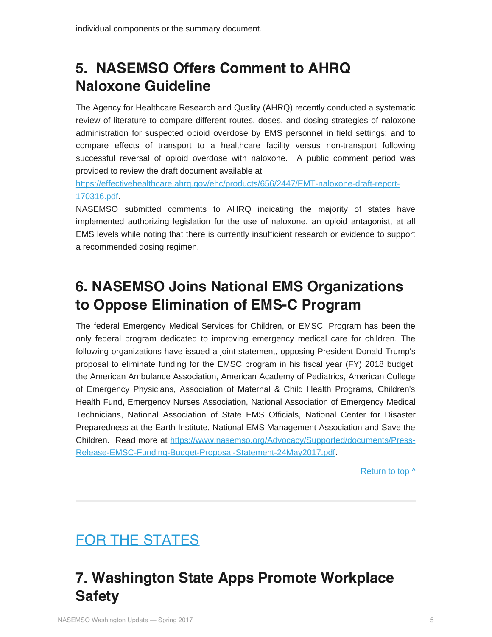## **5. NASEMSO Offers Comment to AHRQ Naloxone Guideline**

The Agency for Healthcare Research and Quality (AHRQ) recently conducted a systematic review of literature to compare different routes, doses, and dosing strategies of naloxone administration for suspected opioid overdose by EMS personnel in field settings; and to compare effects of transport to a healthcare facility versus non-transport following successful reversal of opioid overdose with naloxone. A public comment period was provided to review the draft document available at

[https://effectivehealthcare.ahrq.gov/ehc/products/656/2447/EMT-naloxone-draft-report-](https://effectivehealthcare.ahrq.gov/ehc/products/656/2447/EMT-naloxone-draft-report-170316.pdf)[170316.pdf.](https://effectivehealthcare.ahrq.gov/ehc/products/656/2447/EMT-naloxone-draft-report-170316.pdf)

NASEMSO submitted comments to AHRQ indicating the majority of states have implemented authorizing legislation for the use of naloxone, an opioid antagonist, at all EMS levels while noting that there is currently insufficient research or evidence to support a recommended dosing regimen.

#### **6. NASEMSO Joins National EMS Organizations to Oppose Elimination of EMS-C Program**

The federal Emergency Medical Services for Children, or EMSC, Program has been the only federal program dedicated to improving emergency medical care for children. The following organizations have issued a joint statement, opposing President Donald Trump's proposal to eliminate funding for the EMSC program in his fiscal year (FY) 2018 budget: the American Ambulance Association, American Academy of Pediatrics, American College of Emergency Physicians, Association of Maternal & Child Health Programs, Children's Health Fund, Emergency Nurses Association, National Association of Emergency Medical Technicians, National Association of State EMS Officials, National Center for Disaster Preparedness at the Earth Institute, National EMS Management Association and Save the Children. Read more at [https://www.nasemso.org/Advocacy/Supported/documents/Press-](https://www.nasemso.org/Advocacy/Supported/documents/Press-Release-EMSC-Funding-Budget-Proposal-Statement-24May2017.pdf)[Release-EMSC-Funding-Budget-Proposal-Statement-24May2017.pdf.](https://www.nasemso.org/Advocacy/Supported/documents/Press-Release-EMSC-Funding-Budget-Proposal-Statement-24May2017.pdf)

[Return to top ^](#page-0-0)

# <span id="page-4-0"></span>FOR THE STATES

# **7. Washington State Apps Promote Workplace Safety**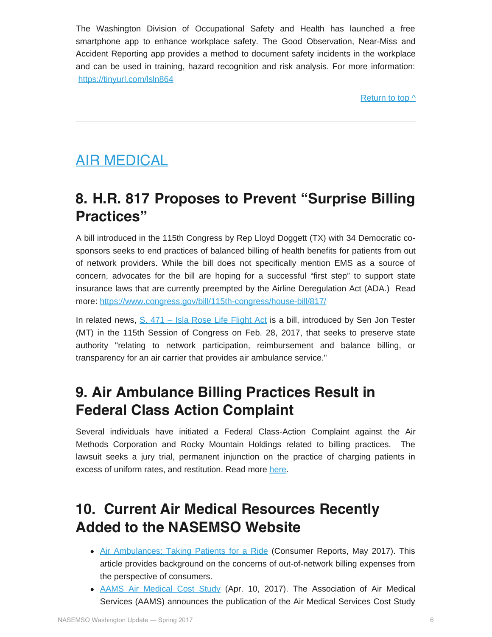The Washington Division of Occupational Safety and Health has launched a free smartphone app to enhance workplace safety. The Good Observation, Near-Miss and Accident Reporting app provides a method to document safety incidents in the workplace and can be used in training, hazard recognition and risk analysis. For more information: <https://tinyurl.com/lsln864>

[Return to top ^](#page-0-0)

#### <span id="page-5-0"></span>AIR MEDICAL

#### **8. H.R. 817 Proposes to Prevent "Surprise Billing Practices"**

A bill introduced in the 115th Congress by Rep Lloyd Doggett (TX) with 34 Democratic cosponsors seeks to end practices of balanced billing of health benefits for patients from out of network providers. While the bill does not specifically mention EMS as a source of concern, advocates for the bill are hoping for a successful "first step" to support state insurance laws that are currently preempted by the Airline Deregulation Act (ADA.) Read more: [https://www.congress.gov/bill/115th-congress/house-bill/817/](https://www.congress.gov/bill/115th-congress/house-bill/817/text)

In related news, [S. 471 – Isla Rose Life Flight Act](https://www.congress.gov/bill/115th-congress/senate-bill/471/text?r=16) is a bill, introduced by Sen Jon Tester (MT) in the 115th Session of Congress on Feb. 28, 2017, that seeks to preserve state authority "relating to network participation, reimbursement and balance billing, or transparency for an air carrier that provides air ambulance service."

#### **9. Air Ambulance Billing Practices Result in Federal Class Action Complaint**

Several individuals have initiated a Federal Class-Action Complaint against the Air Methods Corporation and Rocky Mountain Holdings related to billing practices. The lawsuit seeks a jury trial, permanent injunction on the practice of charging patients in excess of uniform rates, and restitution. Read more [here](https://www.scribd.com/document/339436513/Federal-Class-Action-lawsuit-filed-against-Air-Methods-and-Rocky-Mountain-Holdings).

#### **10. Current Air Medical Resources Recently Added to the NASEMSO Website**

- [Air Ambulances: Taking Patients for a Ride](http://www.consumerreports.org/medical-transportation/air-ambulances-taking-patients-for-a-ride/) (Consumer Reports, May 2017). This article provides background on the concerns of out-of-network billing expenses from the perspective of consumers.
- [AAMS Air Medical Cost Study](http://aams.org/aams-publishes-findings-air-medical-cost-study/) (Apr. 10, 2017). The Association of Air Medical Services (AAMS) announces the publication of the Air Medical Services Cost Study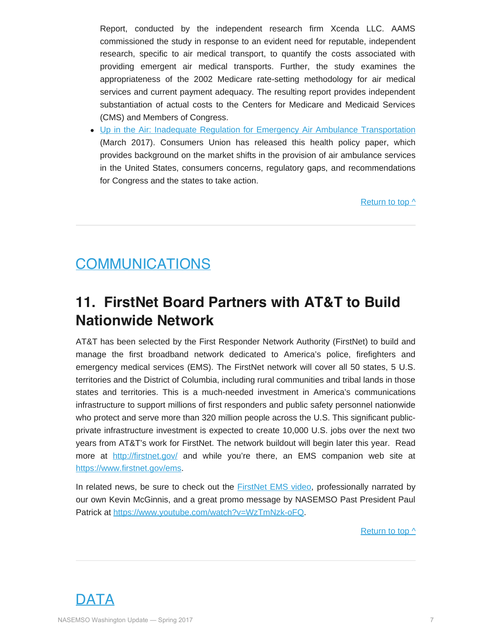Report, conducted by the independent research firm Xcenda LLC. AAMS commissioned the study in response to an evident need for reputable, independent research, specific to air medical transport, to quantify the costs associated with providing emergent air medical transports. Further, the study examines the appropriateness of the 2002 Medicare rate-setting methodology for air medical services and current payment adequacy. The resulting report provides independent substantiation of actual costs to the Centers for Medicare and Medicaid Services (CMS) and Members of Congress.

[Up in the Air: Inadequate Regulation for Emergency Air Ambulance Transportation](http://consumersunion.org/wp-content/uploads/2017/04/Up-In-The-Air-Inadequate-Regulation-for-Emergency-Air-Ambulance-Transportation.pdf) (March 2017). Consumers Union has released this health policy paper, which provides background on the market shifts in the provision of air ambulance services in the United States, consumers concerns, regulatory gaps, and recommendations for Congress and the states to take action.

[Return to top ^](#page-0-0)

#### <span id="page-6-0"></span>COMMUNICATIONS

#### **11. FirstNet Board Partners with AT&T to Build Nationwide Network**

AT&T has been selected by the First Responder Network Authority (FirstNet) to build and manage the first broadband network dedicated to America's police, firefighters and emergency medical services (EMS). The FirstNet network will cover all 50 states, 5 U.S. territories and the District of Columbia, including rural communities and tribal lands in those states and territories. This is a much-needed investment in America's communications infrastructure to support millions of first responders and public safety personnel nationwide who protect and serve more than 320 million people across the U.S. This significant publicprivate infrastructure investment is expected to create 10,000 U.S. jobs over the next two years from AT&T's work for FirstNet. The network buildout will begin later this year. Read more at <http://firstnet.gov/> and while you're there, an EMS companion web site at [https://www.firstnet.gov/ems.](https://www.firstnet.gov/ems)

In related news, be sure to check out the **FirstNet EMS** video, professionally narrated by our own Kevin McGinnis, and a great promo message by NASEMSO Past President Paul Patrick at<https://www.youtube.com/watch?v=WzTmNzk-oFQ>.

[Return to top ^](#page-0-0)

<span id="page-6-1"></span>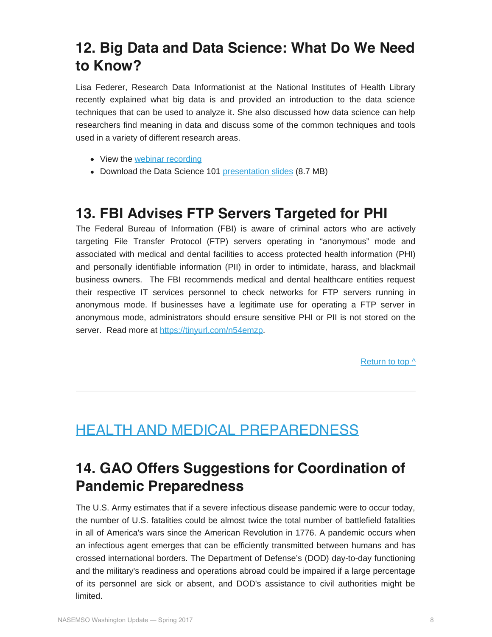#### **12. Big Data and Data Science: What Do We Need to Know?**

Lisa Federer, Research Data Informationist at the National Institutes of Health Library recently explained what big data is and provided an introduction to the data science techniques that can be used to analyze it. She also discussed how data science can help researchers find meaning in data and discuss some of the common techniques and tools used in a variety of different research areas.

- View the [webinar recording](https://disasterinfo.nlm.nih.gov/dimrc/dismtgrecordings/2017_march_09.mp4)
- Download the Data Science 101 [presentation slides](https://disasterinfo.nlm.nih.gov/dimrc/dismtgslides/data_science_101.pptx) (8.7 MB)

#### **13. FBI Advises FTP Servers Targeted for PHI**

The Federal Bureau of Information (FBI) is aware of criminal actors who are actively targeting File Transfer Protocol (FTP) servers operating in "anonymous" mode and associated with medical and dental facilities to access protected health information (PHI) and personally identifiable information (PII) in order to intimidate, harass, and blackmail business owners. The FBI recommends medical and dental healthcare entities request their respective IT services personnel to check networks for FTP servers running in anonymous mode. If businesses have a legitimate use for operating a FTP server in anonymous mode, administrators should ensure sensitive PHI or PII is not stored on the server. Read more at <https://tinyurl.com/n54emzp>.

[Return to top ^](#page-0-0)

## <span id="page-7-0"></span>HEALTH AND MEDICAL PREPAREDNESS

#### **14. GAO Offers Suggestions for Coordination of Pandemic Preparedness**

The U.S. Army estimates that if a severe infectious disease pandemic were to occur today, the number of U.S. fatalities could be almost twice the total number of battlefield fatalities in all of America's wars since the American Revolution in 1776. A pandemic occurs when an infectious agent emerges that can be efficiently transmitted between humans and has crossed international borders. The Department of Defense's (DOD) day-to-day functioning and the military's readiness and operations abroad could be impaired if a large percentage of its personnel are sick or absent, and DOD's assistance to civil authorities might be limited.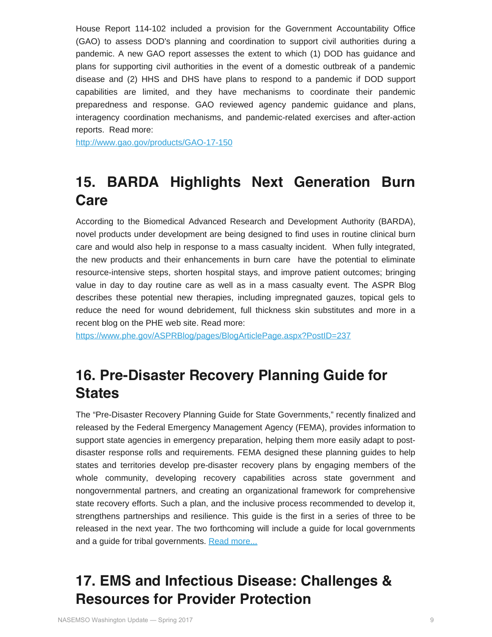House Report 114-102 included a provision for the Government Accountability Office (GAO) to assess DOD's planning and coordination to support civil authorities during a pandemic. A new GAO report assesses the extent to which (1) DOD has guidance and plans for supporting civil authorities in the event of a domestic outbreak of a pandemic disease and (2) HHS and DHS have plans to respond to a pandemic if DOD support capabilities are limited, and they have mechanisms to coordinate their pandemic preparedness and response. GAO reviewed agency pandemic guidance and plans, interagency coordination mechanisms, and pandemic-related exercises and after-action reports. Read more:

<http://www.gao.gov/products/GAO-17-150>

#### **15. BARDA Highlights Next Generation Burn Care**

According to the Biomedical Advanced Research and Development Authority (BARDA), novel products under development are being designed to find uses in routine clinical burn care and would also help in response to a mass casualty incident. When fully integrated, the new products and their enhancements in burn care have the potential to eliminate resource-intensive steps, shorten hospital stays, and improve patient outcomes; bringing value in day to day routine care as well as in a mass casualty event. The ASPR Blog describes these potential new therapies, including impregnated gauzes, topical gels to reduce the need for wound debridement, full thickness skin substitutes and more in a recent blog on the PHE web site. Read more:

<https://www.phe.gov/ASPRBlog/pages/BlogArticlePage.aspx?PostID=237>

#### **16. Pre-Disaster Recovery Planning Guide for States**

The "Pre-Disaster Recovery Planning Guide for State Governments," recently finalized and released by the Federal Emergency Management Agency (FEMA), provides information to support state agencies in emergency preparation, helping them more easily adapt to postdisaster response rolls and requirements. FEMA designed these planning guides to help states and territories develop pre-disaster recovery plans by engaging members of the whole community, developing recovery capabilities across state government and nongovernmental partners, and creating an organizational framework for comprehensive state recovery efforts. Such a plan, and the inclusive process recommended to develop it, strengthens partnerships and resilience. This guide is the first in a series of three to be released in the next year. The two forthcoming will include a guide for local governments and a quide for tribal governments. [Read more...](https://www.fema.gov/media-library/assets/documents/128572)

### **17. EMS and Infectious Disease: Challenges & Resources for Provider Protection**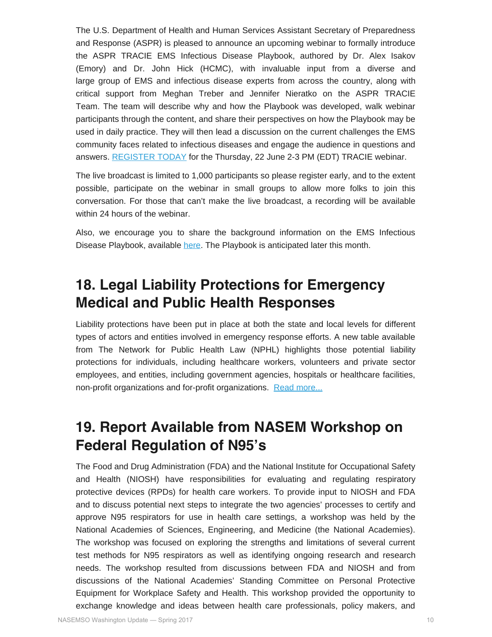The U.S. Department of Health and Human Services Assistant Secretary of Preparedness and Response (ASPR) is pleased to announce an upcoming webinar to formally introduce the ASPR TRACIE EMS Infectious Disease Playbook, authored by Dr. Alex Isakov (Emory) and Dr. John Hick (HCMC), with invaluable input from a diverse and large group of EMS and infectious disease experts from across the country, along with critical support from Meghan Treber and Jennifer Nieratko on the ASPR TRACIE Team. The team will describe why and how the Playbook was developed, walk webinar participants through the content, and share their perspectives on how the Playbook may be used in daily practice. They will then lead a discussion on the current challenges the EMS community faces related to infectious diseases and engage the audience in questions and answers. [REGISTER TODAY](https://register.gotowebinar.com/register/4196593274079113217) for the Thursday, 22 June 2-3 PM (EDT) TRACIE webinar.

The live broadcast is limited to 1,000 participants so please register early, and to the extent possible, participate on the webinar in small groups to allow more folks to join this conversation. For those that can't make the live broadcast, a recording will be available within 24 hours of the webinar.

Also, we encourage you to share the background information on the EMS Infectious Disease Playbook, available [here](https://www.phe.gov/Preparedness/news/events/ems-week/Pages/ems-playbook.aspx). The Playbook is anticipated later this month.

#### **18. Legal Liability Protections for Emergency Medical and Public Health Responses**

Liability protections have been put in place at both the state and local levels for different types of actors and entities involved in emergency response efforts. A new table available from The Network for Public Health Law (NPHL) highlights those potential liability protections for individuals, including healthcare workers, volunteers and private sector employees, and entities, including government agencies, hospitals or healthcare facilities, non-profit organizations and for-profit organizations. [Read more...](https://www.networkforphl.org/_asset/xbt7sg/Liability-Protections-for-Emergency-Response.pdf)

#### **19. Report Available from NASEM Workshop on Federal Regulation of N95's**

The Food and Drug Administration (FDA) and the National Institute for Occupational Safety and Health (NIOSH) have responsibilities for evaluating and regulating respiratory protective devices (RPDs) for health care workers. To provide input to NIOSH and FDA and to discuss potential next steps to integrate the two agencies' processes to certify and approve N95 respirators for use in health care settings, a workshop was held by the National Academies of Sciences, Engineering, and Medicine (the National Academies). The workshop was focused on exploring the strengths and limitations of several current test methods for N95 respirators as well as identifying ongoing research and research needs. The workshop resulted from discussions between FDA and NIOSH and from discussions of the National Academies' Standing Committee on Personal Protective Equipment for Workplace Safety and Health. This workshop provided the opportunity to exchange knowledge and ideas between health care professionals, policy makers, and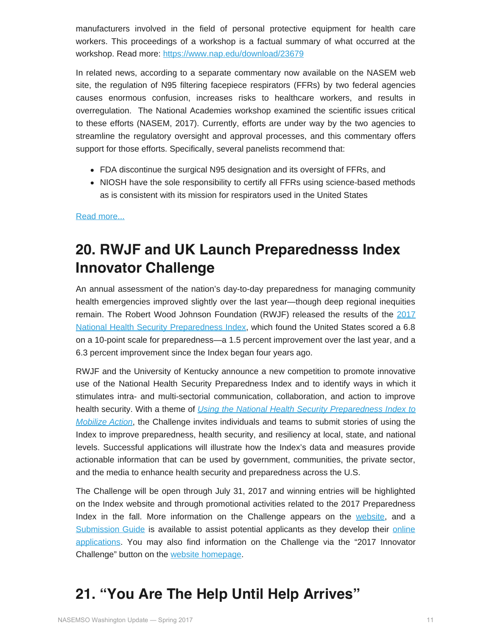manufacturers involved in the field of personal protective equipment for health care workers. This proceedings of a workshop is a factual summary of what occurred at the workshop. Read more:<https://www.nap.edu/download/23679>

In related news, according to a separate commentary now available on the NASEM web site, the regulation of N95 filtering facepiece respirators (FFRs) by two federal agencies causes enormous confusion, increases risks to healthcare workers, and results in overregulation. The National Academies workshop examined the scientific issues critical to these efforts (NASEM, 2017). Currently, efforts are under way by the two agencies to streamline the regulatory oversight and approval processes, and this commentary offers support for those efforts. Specifically, several panelists recommend that:

- FDA discontinue the surgical N95 designation and its oversight of FFRs, and
- NIOSH have the sole responsibility to certify all FFRs using science-based methods as is consistent with its mission for respirators used in the United States

[Read more...](https://nam.edu/wp-content/uploads/2017/03/Respiratory-Protection-for-Health-Care-Workers-Simplify-Procedures-and-Improve-Health.pdf)

#### **20. RWJF and UK Launch Preparednesss Index Innovator Challenge**

An annual assessment of the nation's day-to-day preparedness for managing community health emergencies improved slightly over the last year—though deep regional inequities remain. The Robert Wood Johnson Foundation (RWJF) released the results of the [2017](http://nhspi.org/2017-index-released/) [National Health Security Preparedness Index,](http://nhspi.org/2017-index-released/) which found the United States scored a 6.8 on a 10-point scale for preparedness—a 1.5 percent improvement over the last year, and a 6.3 percent improvement since the Index began four years ago.

RWJF and the University of Kentucky announce a new competition to promote innovative use of the National Health Security Preparedness Index and to identify ways in which it stimulates intra- and multi-sectorial communication, collaboration, and action to improve health security. With a theme of *[Using the National Health Security Preparedness Index to](http://nhspi.org/mobilizingaction) [Mobilize Action](http://nhspi.org/mobilizingaction)*, the Challenge invites individuals and teams to submit stories of using the Index to improve preparedness, health security, and resiliency at local, state, and national levels. Successful applications will illustrate how the Index's data and measures provide actionable information that can be used by government, communities, the private sector, and the media to enhance health security and preparedness across the U.S.

The Challenge will be open through July 31, 2017 and winning entries will be highlighted on the Index website and through promotional activities related to the 2017 Preparedness Index in the fall. More information on the Challenge appears on the [website](http://nhspi.org/mobilizingaction), and a [Submission Guide](http://nhspi.org/wp-content/uploads/2017/01/Preparedness-Challenge-Submission-Guide.pdf) is available to assist potential applicants as they develop their [online](https://redcap.uky.edu/redcap/surveys/?s=NC83MH4RWW) [applications.](https://redcap.uky.edu/redcap/surveys/?s=NC83MH4RWW) You may also find information on the Challenge via the "2017 Innovator Challenge" button on the [website homepage](http://nhspi.org/).

#### **21. "You Are The Help Until Help Arrives"**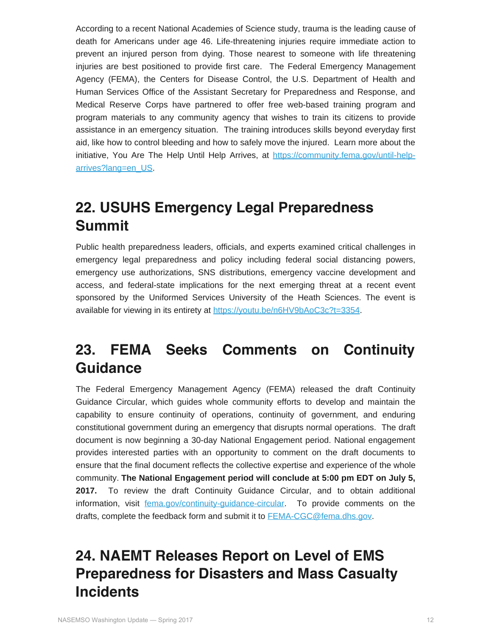According to a recent National Academies of Science study, trauma is the leading cause of death for Americans under age 46. Life-threatening injuries require immediate action to prevent an injured person from dying. Those nearest to someone with life threatening injuries are best positioned to provide first care. The Federal Emergency Management Agency (FEMA), the Centers for Disease Control, the U.S. Department of Health and Human Services Office of the Assistant Secretary for Preparedness and Response, and Medical Reserve Corps have partnered to offer free web-based training program and program materials to any community agency that wishes to train its citizens to provide assistance in an emergency situation. The training introduces skills beyond everyday first aid, like how to control bleeding and how to safely move the injured. Learn more about the initiative, You Are The Help Until Help Arrives, at [https://community.fema.gov/until-help](https://community.fema.gov/until-help-arrives?lang=en_US)[arrives?lang=en\\_US.](https://community.fema.gov/until-help-arrives?lang=en_US)

#### **22. USUHS Emergency Legal Preparedness Summit**

Public health preparedness leaders, officials, and experts examined critical challenges in emergency legal preparedness and policy including federal social distancing powers, emergency use authorizations, SNS distributions, emergency vaccine development and access, and federal-state implications for the next emerging threat at a recent event sponsored by the Uniformed Services University of the Heath Sciences. The event is available for viewing in its entirety at<https://youtu.be/n6HV9bAoC3c?t=3354>.

### **23. FEMA Seeks Comments on Continuity Guidance**

The Federal Emergency Management Agency (FEMA) released the draft Continuity Guidance Circular, which guides whole community efforts to develop and maintain the capability to ensure continuity of operations, continuity of government, and enduring constitutional government during an emergency that disrupts normal operations. The draft document is now beginning a 30-day National Engagement period. National engagement provides interested parties with an opportunity to comment on the draft documents to ensure that the final document reflects the collective expertise and experience of the whole community. **The National Engagement period will conclude at 5:00 pm EDT on July 5, 2017.** To review the draft Continuity Guidance Circular, and to obtain additional information, visit [fema.gov/continuity-guidance-circular](https://www.fema.gov/continuity-guidance-circular-cgc). To provide comments on the drafts, complete the feedback form and submit it to [FEMA-CGC@fema.dhs.gov](mailto:FEMA-CGC@fema.dhs.gov).

## **24. NAEMT Releases Report on Level of EMS Preparedness for Disasters and Mass Casualty Incidents**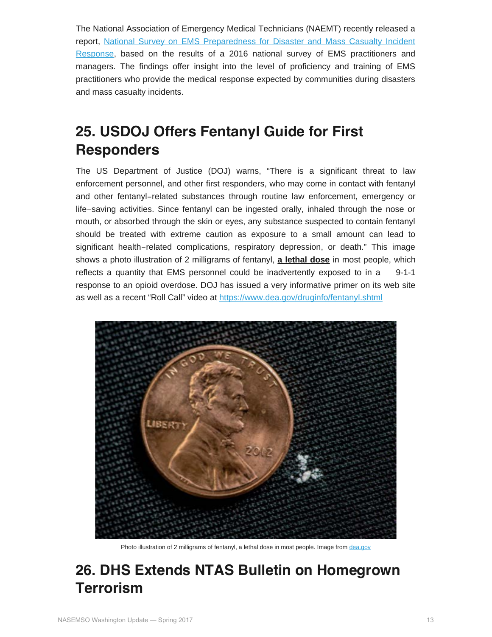The National Association of Emergency Medical Technicians (NAEMT) recently released a report, [National Survey on EMS Preparedness for Disaster and Mass Casualty Incident](http://www.naemt.org/docs/default-source/ems-agencies/EMS-Preparedness/2017-naemt-ems-preparedness-report.pdf?sfvrsn=0) [Response,](http://www.naemt.org/docs/default-source/ems-agencies/EMS-Preparedness/2017-naemt-ems-preparedness-report.pdf?sfvrsn=0) based on the results of a 2016 national survey of EMS practitioners and managers. The findings offer insight into the level of proficiency and training of EMS practitioners who provide the medical response expected by communities during disasters and mass casualty incidents.

#### **25. USDOJ Offers Fentanyl Guide for First Responders**

The US Department of Justice (DOJ) warns, "There is a significant threat to law enforcement personnel, and other first responders, who may come in contact with fentanyl and other fentanyl‐related substances through routine law enforcement, emergency or life‐saving activities. Since fentanyl can be ingested orally, inhaled through the nose or mouth, or absorbed through the skin or eyes, any substance suspected to contain fentanyl should be treated with extreme caution as exposure to a small amount can lead to significant health–related complications, respiratory depression, or death." This image shows a photo illustration of 2 milligrams of fentanyl, **a lethal dose** in most people, which reflects a quantity that EMS personnel could be inadvertently exposed to in a 9-1-1 response to an opioid overdose. DOJ has issued a very informative primer on its web site as well as a recent "Roll Call" video at<https://www.dea.gov/druginfo/fentanyl.shtml>



Photo illustration of 2 milligrams of fentanyl, a lethal dose in most people. Image from [dea.gov](https://www.dea.gov/pr/multimedia-library/image-gallery/images_fentanyl.shtml)

#### **26. DHS Extends NTAS Bulletin on Homegrown Terrorism**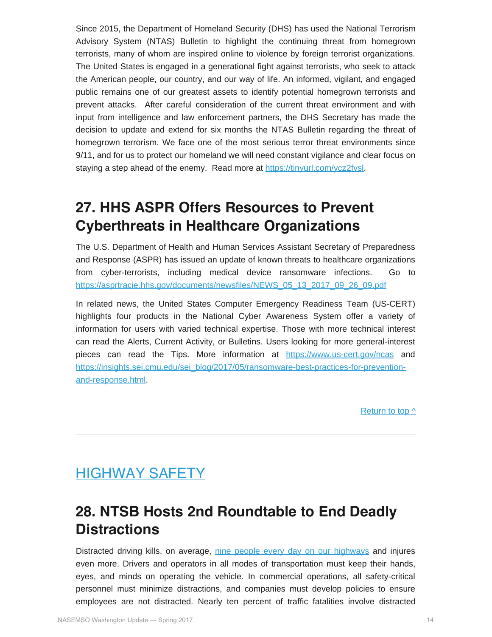Since 2015, the Department of Homeland Security (DHS) has used the National Terrorism Advisory System (NTAS) Bulletin to highlight the continuing threat from homegrown terrorists, many of whom are inspired online to violence by foreign terrorist organizations. The United States is engaged in a generational fight against terrorists, who seek to attack the American people, our country, and our way of life. An informed, vigilant, and engaged public remains one of our greatest assets to identify potential homegrown terrorists and prevent attacks. After careful consideration of the current threat environment and with input from intelligence and law enforcement partners, the DHS Secretary has made the decision to update and extend for six months the NTAS Bulletin regarding the threat of homegrown terrorism. We face one of the most serious terror threat environments since 9/11, and for us to protect our homeland we will need constant vigilance and clear focus on staying a step ahead of the enemy. Read more at<https://tinyurl.com/ycz2fvsl>.

#### **27. HHS ASPR Offers Resources to Prevent Cyberthreats in Healthcare Organizations**

The U.S. Department of Health and Human Services Assistant Secretary of Preparedness and Response (ASPR) has issued an update of known threats to healthcare organizations from cyber-terrorists, including medical device ransomware infections. Go to [https://asprtracie.hhs.gov/documents/newsfiles/NEWS\\_05\\_13\\_2017\\_09\\_26\\_09.pdf](https://asprtracie.hhs.gov/documents/newsfiles/NEWS_05_13_2017_09_26_09.pdf)

In related news, the United States Computer Emergency Readiness Team (US-CERT) highlights four products in the National Cyber Awareness System offer a variety of information for users with varied technical expertise. Those with more technical interest can read the Alerts, Current Activity, or Bulletins. Users looking for more general-interest pieces can read the Tips. More information at <https://www.us-cert.gov/ncas> and [https://insights.sei.cmu.edu/sei\\_blog/2017/05/ransomware-best-practices-for-prevention](https://insights.sei.cmu.edu/sei_blog/2017/05/ransomware-best-practices-for-prevention-and-response.html)[and-response.html](https://insights.sei.cmu.edu/sei_blog/2017/05/ransomware-best-practices-for-prevention-and-response.html).

[Return to top ^](#page-0-0)

#### <span id="page-13-0"></span>HIGHWAY SAFETY

#### **28. NTSB Hosts 2nd Roundtable to End Deadly Distractions**

Distracted driving kills, on average, [nine people every day on our highways](https://www.nhtsa.gov/risky-driving/distracted-driving) and injures even more. Drivers and operators in all modes of transportation must keep their hands, eyes, and minds on operating the vehicle. In commercial operations, all safety-critical personnel must minimize distractions, and companies must develop policies to ensure employees are not distracted. Nearly ten percent of traffic fatalities involve distracted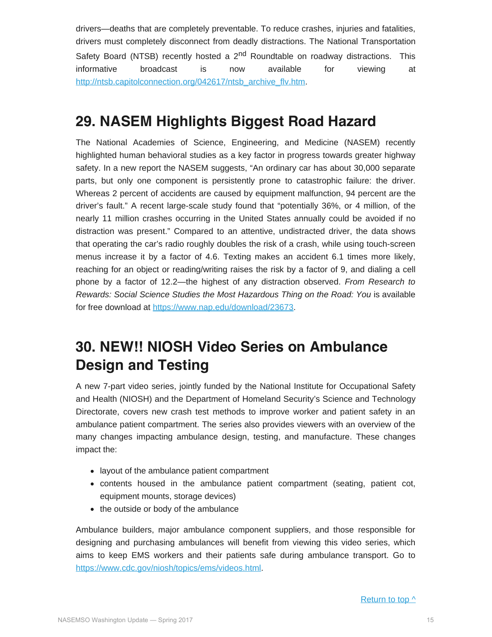drivers—deaths that are completely preventable. To reduce crashes, injuries and fatalities, drivers must completely disconnect from deadly distractions. The National Transportation Safety Board (NTSB) recently hosted a  $2<sup>nd</sup>$  Roundtable on roadway distractions. This informative broadcast is now available for viewing at [http://ntsb.capitolconnection.org/042617/ntsb\\_archive\\_flv.htm.](http://ntsb.capitolconnection.org/042617/ntsb_archive_flv.htm)

#### **29. NASEM Highlights Biggest Road Hazard**

The National Academies of Science, Engineering, and Medicine (NASEM) recently highlighted human behavioral studies as a key factor in progress towards greater highway safety. In a new report the NASEM suggests, "An ordinary car has about 30,000 separate parts, but only one component is persistently prone to catastrophic failure: the driver. Whereas 2 percent of accidents are caused by equipment malfunction, 94 percent are the driver's fault." A recent large-scale study found that "potentially 36%, or 4 million, of the nearly 11 million crashes occurring in the United States annually could be avoided if no distraction was present." Compared to an attentive, undistracted driver, the data shows that operating the car's radio roughly doubles the risk of a crash, while using touch-screen menus increase it by a factor of 4.6. Texting makes an accident 6.1 times more likely, reaching for an object or reading/writing raises the risk by a factor of 9, and dialing a cell phone by a factor of 12.2—the highest of any distraction observed. *From Research to Rewards: Social Science Studies the Most Hazardous Thing on the Road: You* is available for free download at<https://www.nap.edu/download/23673>.

#### **30. NEW!! NIOSH Video Series on Ambulance Design and Testing**

A new 7-part video series, jointly funded by the National Institute for Occupational Safety and Health (NIOSH) and the Department of Homeland Security's Science and Technology Directorate, covers new crash test methods to improve worker and patient safety in an ambulance patient compartment. The series also provides viewers with an overview of the many changes impacting ambulance design, testing, and manufacture. These changes impact the:

- layout of the ambulance patient compartment
- contents housed in the ambulance patient compartment (seating, patient cot, equipment mounts, storage devices)
- the outside or body of the ambulance

Ambulance builders, major ambulance component suppliers, and those responsible for designing and purchasing ambulances will benefit from viewing this video series, which aims to keep EMS workers and their patients safe during ambulance transport. Go to <https://www.cdc.gov/niosh/topics/ems/videos.html>.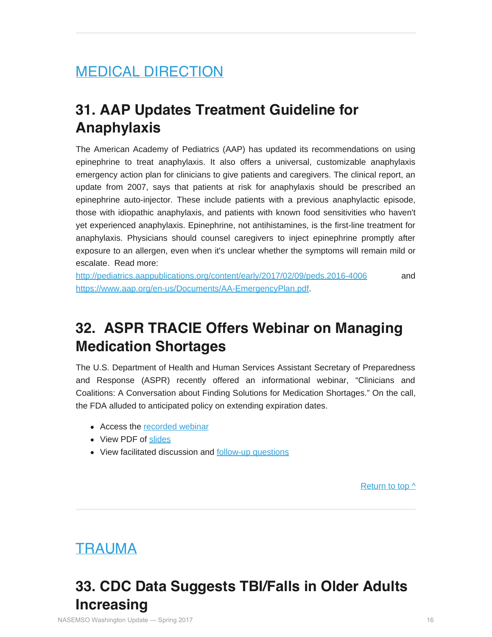# <span id="page-15-0"></span>MEDICAL DIRECTION

#### **31. AAP Updates Treatment Guideline for Anaphylaxis**

The American Academy of Pediatrics (AAP) has updated its recommendations on using epinephrine to treat anaphylaxis. It also offers a universal, customizable anaphylaxis emergency action plan for clinicians to give patients and caregivers. The clinical report, an update from 2007, says that patients at risk for anaphylaxis should be prescribed an epinephrine auto-injector. These include patients with a previous anaphylactic episode, those with idiopathic anaphylaxis, and patients with known food sensitivities who haven't yet experienced anaphylaxis. Epinephrine, not antihistamines, is the first-line treatment for anaphylaxis. Physicians should counsel caregivers to inject epinephrine promptly after exposure to an allergen, even when it's unclear whether the symptoms will remain mild or escalate. Read more:

<http://pediatrics.aappublications.org/content/early/2017/02/09/peds.2016-4006> and [https://www.aap.org/en-us/Documents/AA-EmergencyPlan.pdf.](https://www.aap.org/en-us/Documents/AA-EmergencyPlan.pdf)

#### **32. ASPR TRACIE Offers Webinar on Managing Medication Shortages**

The U.S. Department of Health and Human Services Assistant Secretary of Preparedness and Response (ASPR) recently offered an informational webinar, "Clinicians and Coalitions: A Conversation about Finding Solutions for Medication Shortages." On the call, the FDA alluded to anticipated policy on extending expiration dates.

- Access the [recorded webinar](https://attendee.gotowebinar.com/recording/4376906584254284291)
- View PDF of [slides](https://asprtracie.hhs.gov/documents/aspr-tracie-medication-shortages-webinar-508.pdf)
- View facilitated discussion and [follow-up questions](https://asprtracie.hhs.gov/documents/aspr-tracie-medication-shortage-webinar-discussion-questions.pdf)

[Return to top ^](#page-0-0)

#### <span id="page-15-1"></span>TRAUMA

#### **33. CDC Data Suggests TBI/Falls in Older Adults Increasing**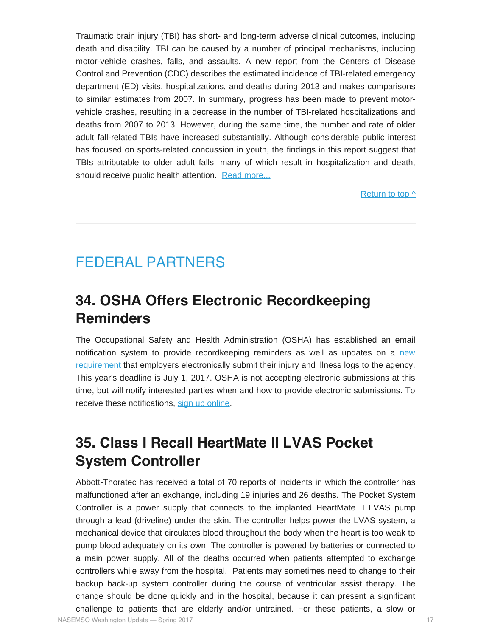Traumatic brain injury (TBI) has short- and long-term adverse clinical outcomes, including death and disability. TBI can be caused by a number of principal mechanisms, including motor-vehicle crashes, falls, and assaults. A new report from the Centers of Disease Control and Prevention (CDC) describes the estimated incidence of TBI-related emergency department (ED) visits, hospitalizations, and deaths during 2013 and makes comparisons to similar estimates from 2007. In summary, progress has been made to prevent motorvehicle crashes, resulting in a decrease in the number of TBI-related hospitalizations and deaths from 2007 to 2013. However, during the same time, the number and rate of older adult fall-related TBIs have increased substantially. Although considerable public interest has focused on sports-related concussion in youth, the findings in this report suggest that TBIs attributable to older adult falls, many of which result in hospitalization and death, should receive public health attention. [Read more...](https://www.cdc.gov/mmwr/volumes/66/ss/ss6609a1.htm?s_cid=ss6609a1_w)

[Return to top ^](#page-0-0)

#### <span id="page-16-0"></span>FEDERAL PARTNERS

#### **34. OSHA Offers Electronic Recordkeeping Reminders**

The Occupational Safety and Health Administration (OSHA) has established an email notification system to provide recordkeeping reminders as well as updates on a [new](http://links.govdelivery.com/track?type=click&enid=ZWFzPTEmbWFpbGluZ2lkPTIwMTcwMzE3LjcxMjM1NjUxJm1lc3NhZ2VpZD1NREItUFJELUJVTC0yMDE3MDMxNy43MTIzNTY1MSZkYXRhYmFzZWlkPTEwMDEmc2VyaWFsPTE3Mzk4MzU1JmVtYWlsaWQ9cm9iaW5zb25AbmFzZW1zby5vcmcmdXNlcmlkPXJvYmluc29uQG5hc2Vtc28ub3JnJmZsPSZleHRyYT1NdWx0aXZhcmlhdGVJZD0mJiY=&&&141&&&https://www.osha.gov/recordkeeping/finalrule/index.html) [requirement](http://links.govdelivery.com/track?type=click&enid=ZWFzPTEmbWFpbGluZ2lkPTIwMTcwMzE3LjcxMjM1NjUxJm1lc3NhZ2VpZD1NREItUFJELUJVTC0yMDE3MDMxNy43MTIzNTY1MSZkYXRhYmFzZWlkPTEwMDEmc2VyaWFsPTE3Mzk4MzU1JmVtYWlsaWQ9cm9iaW5zb25AbmFzZW1zby5vcmcmdXNlcmlkPXJvYmluc29uQG5hc2Vtc28ub3JnJmZsPSZleHRyYT1NdWx0aXZhcmlhdGVJZD0mJiY=&&&141&&&https://www.osha.gov/recordkeeping/finalrule/index.html) that employers electronically submit their injury and illness logs to the agency. This year's deadline is July 1, 2017. OSHA is not accepting electronic submissions at this time, but will notify interested parties when and how to provide electronic submissions. To receive these notifications, [sign up online.](http://links.govdelivery.com/track?type=click&enid=ZWFzPTEmbWFpbGluZ2lkPTIwMTcwMzE3LjcxMjM1NjUxJm1lc3NhZ2VpZD1NREItUFJELUJVTC0yMDE3MDMxNy43MTIzNTY1MSZkYXRhYmFzZWlkPTEwMDEmc2VyaWFsPTE3Mzk4MzU1JmVtYWlsaWQ9cm9iaW5zb25AbmFzZW1zby5vcmcmdXNlcmlkPXJvYmluc29uQG5hc2Vtc28ub3JnJmZsPSZleHRyYT1NdWx0aXZhcmlhdGVJZD0mJiY=&&&142&&&https://public.govdelivery.com/accounts/USDOL/subscriber/new?topic_id=USDOL_1011)

#### **35. Class I Recall HeartMate II LVAS Pocket System Controller**

Abbott-Thoratec has received a total of 70 reports of incidents in which the controller has malfunctioned after an exchange, including 19 injuries and 26 deaths. The Pocket System Controller is a power supply that connects to the implanted HeartMate II LVAS pump through a lead (driveline) under the skin. The controller helps power the LVAS system, a mechanical device that circulates blood throughout the body when the heart is too weak to pump blood adequately on its own. The controller is powered by batteries or connected to a main power supply. All of the deaths occurred when patients attempted to exchange controllers while away from the hospital. Patients may sometimes need to change to their backup back-up system controller during the course of ventricular assist therapy. The change should be done quickly and in the hospital, because it can present a significant challenge to patients that are elderly and/or untrained. For these patients, a slow or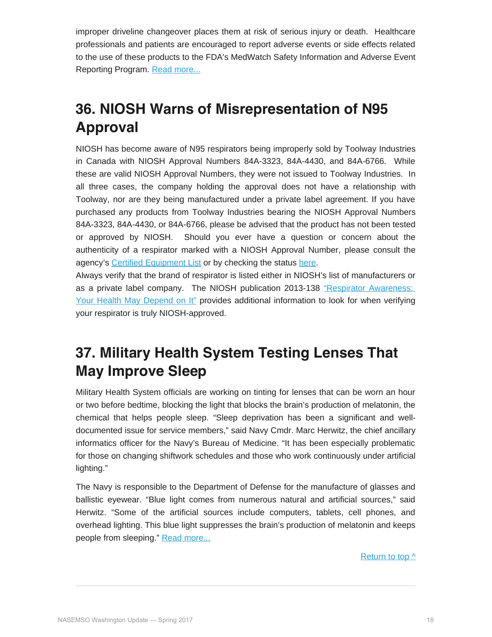improper driveline changeover places them at risk of serious injury or death. Healthcare professionals and patients are encouraged to report adverse events or side effects related to the use of these products to the FDA's MedWatch Safety Information and Adverse Event Reporting Program. [Read more...](https://www.fda.gov/Safety/MedWatch/SafetyInformation/SafetyAlertsforHumanMedicalProducts/ucm560222.htm)

## **36. NIOSH Warns of Misrepresentation of N95 Approval**

NIOSH has become aware of N95 respirators being improperly sold by Toolway Industries in Canada with NIOSH Approval Numbers 84A-3323, 84A-4430, and 84A-6766. While these are valid NIOSH Approval Numbers, they were not issued to Toolway Industries. In all three cases, the company holding the approval does not have a relationship with Toolway, nor are they being manufactured under a private label agreement. If you have purchased any products from Toolway Industries bearing the NIOSH Approval Numbers 84A-3323, 84A-4430, or 84A-6766, please be advised that the product has not been tested or approved by NIOSH. Should you ever have a question or concern about the authenticity of a respirator marked with a NIOSH Approval Number, please consult the agency's [Certified Equipment List](https://www.cdc.gov/niosh/npptl/topics/respirators/cel/default.html) or by checking the status [here](https://www.cdc.gov/niosh/npptl/topics/respirators/disp_part/default.html).

Always verify that the brand of respirator is listed either in NIOSH's list of manufacturers or as a private label company. The NIOSH publication 2013-138 ["Respirator Awareness:](https://www.cdc.gov/niosh/docs/2013-138/) [Your Health May Depend on It"](https://www.cdc.gov/niosh/docs/2013-138/) provides additional information to look for when verifying your respirator is truly NIOSH-approved.

### **37. Military Health System Testing Lenses That May Improve Sleep**

Military Health System officials are working on tinting for lenses that can be worn an hour or two before bedtime, blocking the light that blocks the brain's production of melatonin, the chemical that helps people sleep. "Sleep deprivation has been a significant and welldocumented issue for service members," said Navy Cmdr. Marc Herwitz, the chief ancillary informatics officer for the Navy's Bureau of Medicine. "It has been especially problematic for those on changing shiftwork schedules and those who work continuously under artificial lighting."

The Navy is responsible to the Department of Defense for the manufacture of glasses and ballistic eyewear. "Blue light comes from numerous natural and artificial sources," said Herwitz. "Some of the artificial sources include computers, tablets, cell phones, and overhead lighting. This blue light suppresses the brain's production of melatonin and keeps people from sleeping." [Read more...](https://health.mil/News/Articles/2017/04/07/Blue-light-blocking-lenses-a-potential-breakthrough-for-warfighters)

[Return to top ^](#page-0-0)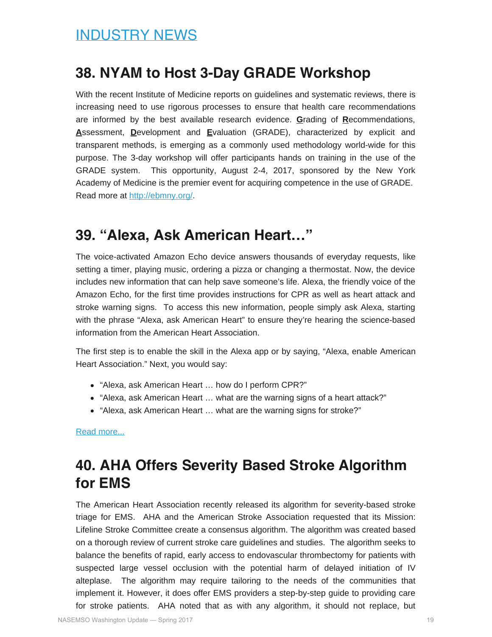#### <span id="page-18-0"></span>**38. NYAM to Host 3-Day GRADE Workshop**

With the recent Institute of Medicine reports on guidelines and systematic reviews, there is increasing need to use rigorous processes to ensure that health care recommendations are informed by the best available research evidence. **G**rading of **R**ecommendations, **A**ssessment, **D**evelopment and **E**valuation (GRADE), characterized by explicit and transparent methods, is emerging as a commonly used methodology world-wide for this purpose. The 3-day workshop will offer participants hands on training in the use of the GRADE system. This opportunity, August 2-4, 2017, sponsored by the New York Academy of Medicine is the premier event for acquiring competence in the use of GRADE. Read more at [http://ebmny.org/.](http://ebmny.org/)

#### **39. "Alexa, Ask American Heart…"**

The voice-activated Amazon Echo device answers thousands of everyday requests, like setting a timer, playing music, ordering a pizza or changing a thermostat. Now, the device includes new information that can help save someone's life. Alexa, the friendly voice of the Amazon Echo, for the first time provides instructions for CPR as well as heart attack and stroke warning signs. To access this new information, people simply ask Alexa, starting with the phrase "Alexa, ask American Heart" to ensure they're hearing the science-based information from the American Heart Association.

The first step is to enable the skill in the Alexa app or by saying, "Alexa, enable American Heart Association." Next, you would say:

- "Alexa, ask American Heart … how do I perform CPR?"
- "Alexa, ask American Heart … what are the warning signs of a heart attack?"
- "Alexa, ask American Heart … what are the warning signs for stroke?"

[Read more...](http://news.heart.org/alexa-can-tell-you-the-steps-for-cpr-warning-signs-of-heart-attack-and-stroke/)

#### **40. AHA Offers Severity Based Stroke Algorithm for EMS**

The American Heart Association recently released its algorithm for severity-based stroke triage for EMS. AHA and the American Stroke Association requested that its Mission: Lifeline Stroke Committee create a consensus algorithm. The algorithm was created based on a thorough review of current stroke care guidelines and studies. The algorithm seeks to balance the benefits of rapid, early access to endovascular thrombectomy for patients with suspected large vessel occlusion with the potential harm of delayed initiation of IV alteplase. The algorithm may require tailoring to the needs of the communities that implement it. However, it does offer EMS providers a step-by-step guide to providing care for stroke patients. AHA noted that as with any algorithm, it should not replace, but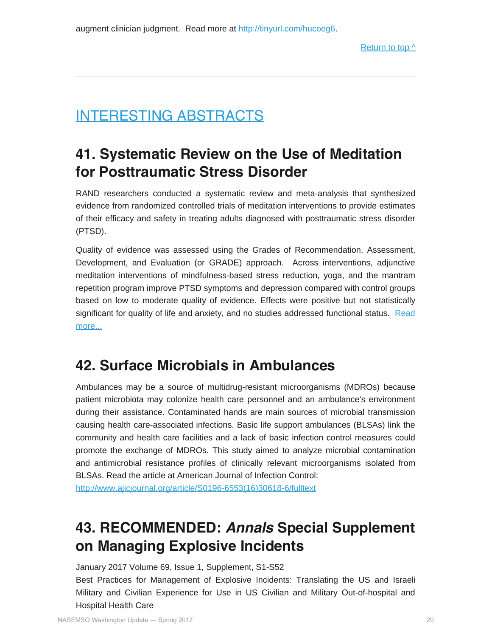### <span id="page-19-0"></span>INTERESTING ABSTRACTS

#### **41. Systematic Review on the Use of Meditation for Posttraumatic Stress Disorder**

RAND researchers conducted a systematic review and meta-analysis that synthesized evidence from randomized controlled trials of meditation interventions to provide estimates of their efficacy and safety in treating adults diagnosed with posttraumatic stress disorder (PTSD).

Quality of evidence was assessed using the Grades of Recommendation, Assessment, Development, and Evaluation (or GRADE) approach. Across interventions, adjunctive meditation interventions of mindfulness-based stress reduction, yoga, and the mantram repetition program improve PTSD symptoms and depression compared with control groups based on low to moderate quality of evidence. Effects were positive but not statistically significant for quality of life and anxiety, and no studies addressed functional status. [Read](http://www.rand.org/pubs/research_reports/RR1356.html) [more...](http://www.rand.org/pubs/research_reports/RR1356.html)

#### **42. Surface Microbials in Ambulances**

Ambulances may be a source of multidrug-resistant microorganisms (MDROs) because patient microbiota may colonize health care personnel and an ambulance's environment during their assistance. Contaminated hands are main sources of microbial transmission causing health care-associated infections. Basic life support ambulances (BLSAs) link the community and health care facilities and a lack of basic infection control measures could promote the exchange of MDROs. This study aimed to analyze microbial contamination and antimicrobial resistance profiles of clinically relevant microorganisms isolated from BLSAs. Read the article at American Journal of Infection Control:

[http://www.ajicjournal.org/article/S0196-6553\(16\)30618-6/fulltext](http://www.ajicjournal.org/article/S0196-6553(16)30618-6/fulltext)

### **43. RECOMMENDED:** *Annals* **Special Supplement on Managing Explosive Incidents**

January 2017 Volume 69, Issue 1, Supplement, S1-S52

Best Practices for Management of Explosive Incidents: Translating the US and Israeli Military and Civilian Experience for Use in US Civilian and Military Out-of-hospital and Hospital Health Care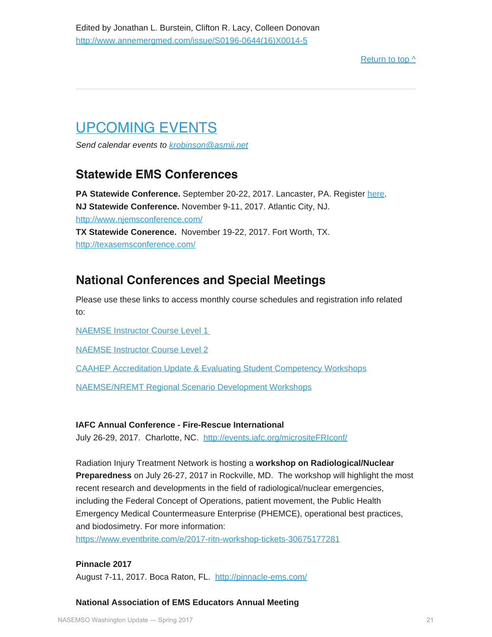#### [Return to top ^](#page-0-0)

# <span id="page-20-0"></span>UPCOMING EVENTS

*Send calendar events to [krobinson@asmii.net](mailto:krobinson@asmii.net?subject=Calendar%20Event%20for%20Washington%20Update)*

#### **Statewide EMS Conferences**

**PA Statewide Conference.** September 20-22, 2017. Lancaster, PA. Register [here](https://www.regonline.com/builder/site/Default.aspx?EventID=1946403). **NJ Statewide Conference.** November 9-11, 2017. Atlantic City, NJ. <http://www.njemsconference.com/> **TX Statewide Conerence.** November 19-22, 2017. Fort Worth, TX. <http://texasemsconference.com/>

#### **National Conferences and Special Meetings**

Please use these links to access monthly course schedules and registration info related to:

[NAEMSE Instructor Course Level 1](http://naemse.org/?page=LVL1InstructorCourse)

[NAEMSE Instructor Course Level 2](http://naemse.org/?page=LVL2InstructorCourse)

[CAAHEP Accreditation Update & Evaluating Student Competency Workshops](http://naemse.org/?page=coaemsp)

[NAEMSE/NREMT Regional Scenario Development Workshops](http://naemse.org/?page=nremt)

#### **IAFC Annual Conference - Fire-Rescue International**

July 26-29, 2017. Charlotte, NC. <http://events.iafc.org/micrositeFRIconf/>

Radiation Injury Treatment Network is hosting a **workshop on Radiological/Nuclear Preparedness** on July 26-27, 2017 in Rockville, MD. The workshop will highlight the most recent research and developments in the field of radiological/nuclear emergencies, including the Federal Concept of Operations, patient movement, the Public Health Emergency Medical Countermeasure Enterprise (PHEMCE), operational best practices, and biodosimetry. For more information:

<https://www.eventbrite.com/e/2017-ritn-workshop-tickets-30675177281>

#### **Pinnacle 2017**

August 7-11, 2017. Boca Raton, FL. <http://pinnacle-ems.com/>

**National Association of EMS Educators Annual Meeting**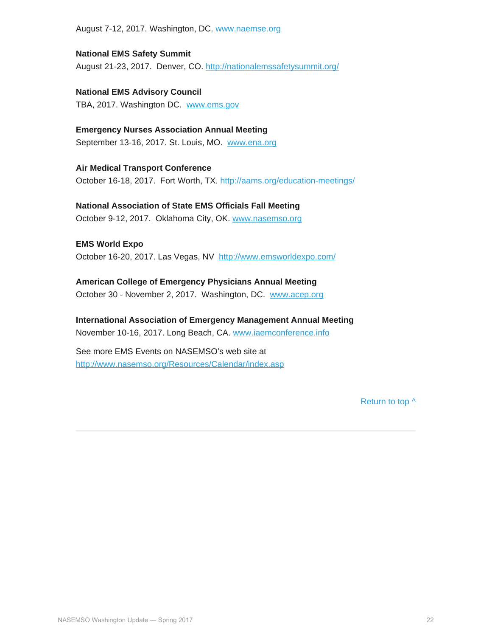August 7-12, 2017. Washington, DC. [www.naemse.org](http://www.naemse.org/)

**National EMS Safety Summit** August 21-23, 2017. Denver, CO.<http://nationalemssafetysummit.org/>

**National EMS Advisory Council** TBA, 2017. Washington DC. [www.ems.gov](http://www.ems.gov/)

**Emergency Nurses Association Annual Meeting** September 13-16, 2017. St. Louis, MO. [www.ena.org](http://www.ena.org/)

**Air Medical Transport Conference** October 16-18, 2017. Fort Worth, TX.<http://aams.org/education-meetings/>

**National Association of State EMS Officials Fall Meeting** October 9-12, 2017. Oklahoma City, OK. [www.nasemso.org](http://www.nasemso.org/)

**EMS World Expo** October 16-20, 2017. Las Vegas, NV <http://www.emsworldexpo.com/>

**American College of Emergency Physicians Annual Meeting** October 30 - November 2, 2017. Washington, DC. [www.acep.org](http://www.acep.org/)

**International Association of Emergency Management Annual Meeting** November 10-16, 2017. Long Beach, CA. [www.iaemconference.info](http://www.iaemconference.info/)

See more EMS Events on NASEMSO's web site at <http://www.nasemso.org/Resources/Calendar/index.asp>

[Return to top ^](#page-0-0)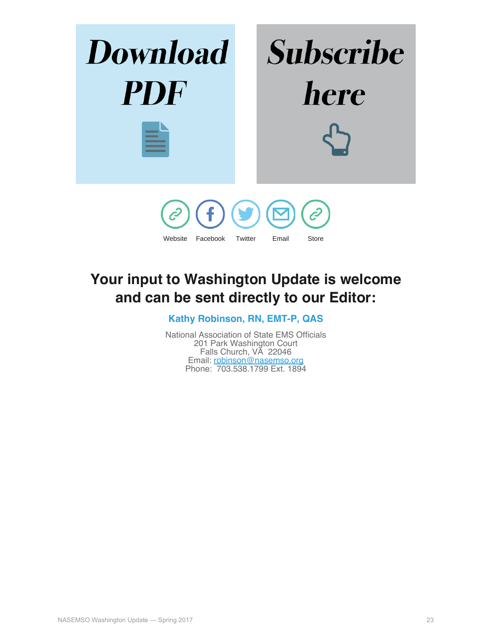

### <span id="page-22-0"></span>**Your input to Washington Update is welcome and can be sent directly to our Editor:**

**Kathy Robinson, RN, EMT-P, QAS**

National Association of State EMS Officials 201 Park Washington Court Falls Church, VA 22046 Email: [robinson@nasemso.org](mailto:robinson@nasemso.org) Phone: 703.538.1799 Ext. 1894